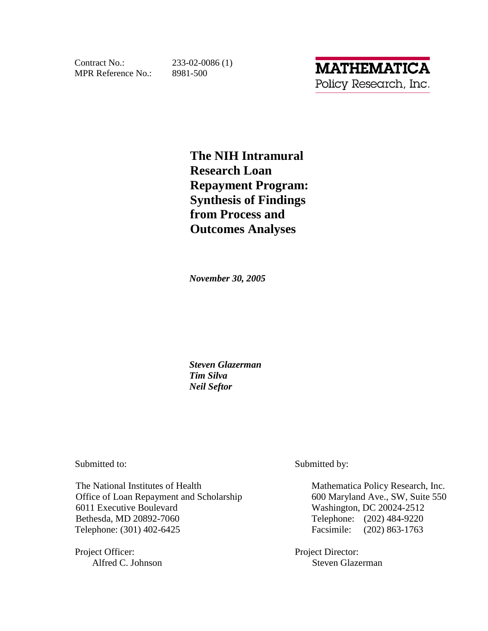Contract No.: MPR Reference No.: 8981-500

 $233 - 02 - 0086(1)$ 

**The NIH Intramural Research Loan Repayment Program: Synthesis of Findings from Process and Outcomes Analyses** 

*November 30, 2005* 

*Steven Glazerman Tim Silva Neil Seftor* 

Submitted to: Submitted by:

The National Institutes of Health Mathematica Policy Research, Inc. Office of Loan Repayment and Scholarship 600 Maryland Ave., SW, Suite 550 6011 Executive Boulevard Washington, DC 20024-2512 Bethesda, MD 20892-7060 Telephone: (202) 484-9220 Telephone: (301) 402-6425 Facsimile: (202) 863-1763

Project Officer: Project Director:

Alfred C. Johnson Steven Glazerman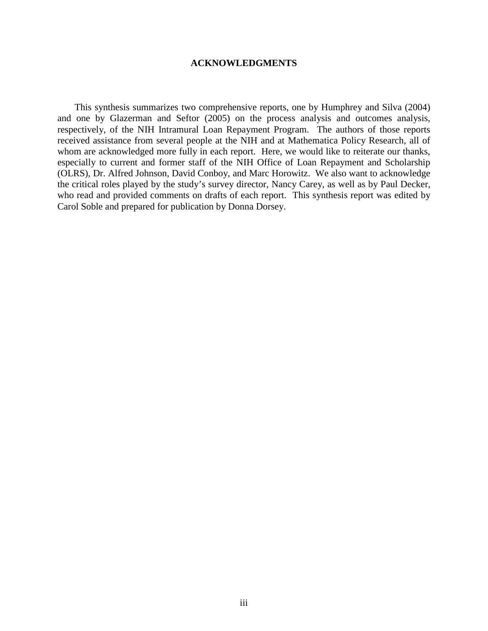### **ACKNOWLEDGMENTS**

 respectively, of the NIH Intramural Loan Repayment Program. The authors of those reports This synthesis summarizes two comprehensive reports, one by Humphrey and Silva (2004) and one by Glazerman and Seftor (2005) on the process analysis and outcomes analysis, received assistance from several people at the NIH and at Mathematica Policy Research, all of whom are acknowledged more fully in each report. Here, we would like to reiterate our thanks, especially to current and former staff of the NIH Office of Loan Repayment and Scholarship (OLRS), Dr. Alfred Johnson, David Conboy, and Marc Horowitz. We also want to acknowledge the critical roles played by the study's survey director, Nancy Carey, as well as by Paul Decker, who read and provided comments on drafts of each report. This synthesis report was edited by Carol Soble and prepared for publication by Donna Dorsey.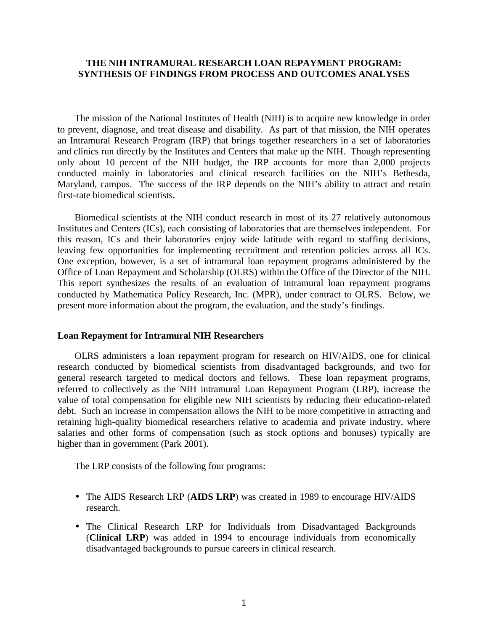## **THE NIH INTRAMURAL RESEARCH LOAN REPAYMENT PROGRAM: SYNTHESIS OF FINDINGS FROM PROCESS AND OUTCOMES ANALYSES**

The mission of the National Institutes of Health (NIH) is to acquire new knowledge in order to prevent, diagnose, and treat disease and disability. As part of that mission, the NIH operates an Intramural Research Program (IRP) that brings together researchers in a set of laboratories and clinics run directly by the Institutes and Centers that make up the NIH. Though representing only about 10 percent of the NIH budget, the IRP accounts for more than 2,000 projects conducted mainly in laboratories and clinical research facilities on the NIH's Bethesda, Maryland, campus. The success of the IRP depends on the NIH's ability to attract and retain first-rate biomedical scientists.

Office of Loan Repayment and Scholarship (OLRS) within the Office of the Director of the NIH. Biomedical scientists at the NIH conduct research in most of its 27 relatively autonomous Institutes and Centers (ICs), each consisting of laboratories that are themselves independent. For this reason, ICs and their laboratories enjoy wide latitude with regard to staffing decisions, leaving few opportunities for implementing recruitment and retention policies across all ICs. One exception, however, is a set of intramural loan repayment programs administered by the This report synthesizes the results of an evaluation of intramural loan repayment programs conducted by Mathematica Policy Research, Inc. (MPR), under contract to OLRS. Below, we present more information about the program, the evaluation, and the study's findings.

#### **Loan Repayment for Intramural NIH Researchers**

 referred to collectively as the NIH intramural Loan Repayment Program (LRP), increase the OLRS administers a loan repayment program for research on HIV/AIDS, one for clinical research conducted by biomedical scientists from disadvantaged backgrounds, and two for general research targeted to medical doctors and fellows. These loan repayment programs, value of total compensation for eligible new NIH scientists by reducing their education-related debt. Such an increase in compensation allows the NIH to be more competitive in attracting and retaining high-quality biomedical researchers relative to academia and private industry, where salaries and other forms of compensation (such as stock options and bonuses) typically are higher than in government (Park 2001).

The LRP consists of the following four programs:

- The AIDS Research LRP (AIDS LRP) was created in 1989 to encourage HIV/AIDS research.
- The Clinical Research LRP for Individuals from Disadvantaged Backgrounds (**Clinical LRP**) was added in 1994 to encourage individuals from economically disadvantaged backgrounds to pursue careers in clinical research.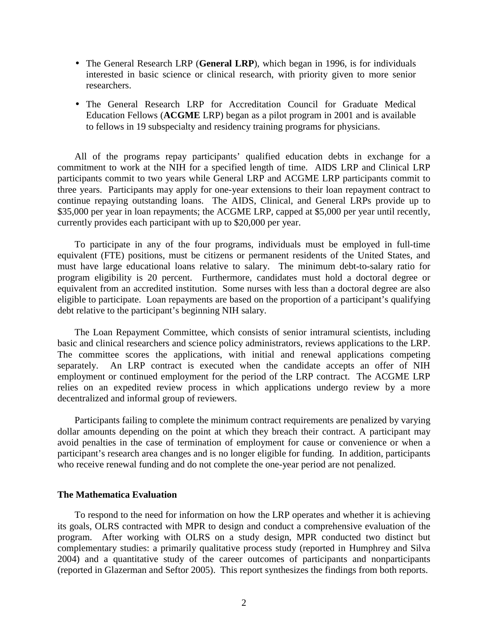- researchers. • The General Research LRP (General LRP), which began in 1996, is for individuals interested in basic science or clinical research, with priority given to more senior
- The General Research LRP for Accreditation Council for Graduate Medical Education Fellows (**ACGME** LRP) began as a pilot program in 2001 and is available to fellows in 19 subspecialty and residency training programs for physicians.

All of the programs repay participants' qualified education debts in exchange for a commitment to work at the NIH for a specified length of time. AIDS LRP and Clinical LRP participants commit to two years while General LRP and ACGME LRP participants commit to three years. Participants may apply for one-year extensions to their loan repayment contract to continue repaying outstanding loans. The AIDS, Clinical, and General LRPs provide up to \$35,000 per year in loan repayments; the ACGME LRP, capped at \$5,000 per year until recently, currently provides each participant with up to \$20,000 per year.

To participate in any of the four programs, individuals must be employed in full-time equivalent (FTE) positions, must be citizens or permanent residents of the United States, and must have large educational loans relative to salary. The minimum debt-to-salary ratio for program eligibility is 20 percent. Furthermore, candidates must hold a doctoral degree or equivalent from an accredited institution. Some nurses with less than a doctoral degree are also eligible to participate. Loan repayments are based on the proportion of a participant's qualifying debt relative to the participant's beginning NIH salary.

 basic and clinical researchers and science policy administrators, reviews applications to the LRP. employment or continued employment for the period of the LRP contract. The ACGME LRP relies on an expedited review process in which applications undergo review by a more The Loan Repayment Committee, which consists of senior intramural scientists, including The committee scores the applications, with initial and renewal applications competing separately. An LRP contract is executed when the candidate accepts an offer of NIH decentralized and informal group of reviewers.

Participants failing to complete the minimum contract requirements are penalized by varying dollar amounts depending on the point at which they breach their contract. A participant may avoid penalties in the case of termination of employment for cause or convenience or when a participant's research area changes and is no longer eligible for funding. In addition, participants who receive renewal funding and do not complete the one-year period are not penalized.

### **The Mathematica Evaluation**

To respond to the need for information on how the LRP operates and whether it is achieving its goals, OLRS contracted with MPR to design and conduct a comprehensive evaluation of the program. After working with OLRS on a study design, MPR conducted two distinct but complementary studies: a primarily qualitative process study (reported in Humphrey and Silva 2004) and a quantitative study of the career outcomes of participants and nonparticipants (reported in Glazerman and Seftor 2005). This report synthesizes the findings from both reports.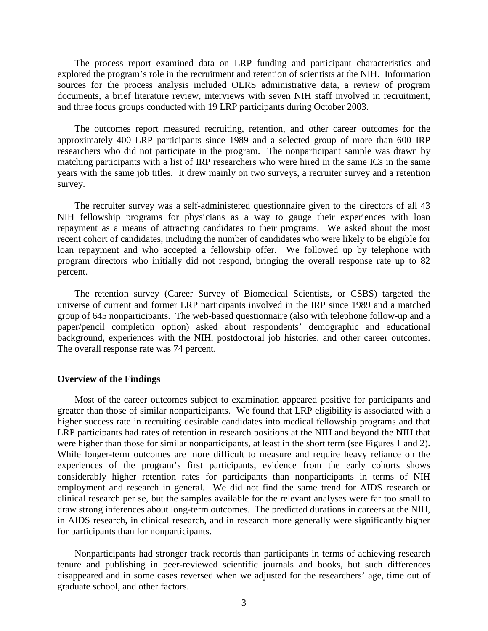The process report examined data on LRP funding and participant characteristics and explored the program's role in the recruitment and retention of scientists at the NIH. Information sources for the process analysis included OLRS administrative data, a review of program documents, a brief literature review, interviews with seven NIH staff involved in recruitment, and three focus groups conducted with 19 LRP participants during October 2003.

The outcomes report measured recruiting, retention, and other career outcomes for the approximately 400 LRP participants since 1989 and a selected group of more than 600 IRP researchers who did not participate in the program. The nonparticipant sample was drawn by matching participants with a list of IRP researchers who were hired in the same ICs in the same years with the same job titles. It drew mainly on two surveys, a recruiter survey and a retention survey.

The recruiter survey was a self-administered questionnaire given to the directors of all 43 NIH fellowship programs for physicians as a way to gauge their experiences with loan repayment as a means of attracting candidates to their programs. We asked about the most recent cohort of candidates, including the number of candidates who were likely to be eligible for loan repayment and who accepted a fellowship offer. We followed up by telephone with program directors who initially did not respond, bringing the overall response rate up to 82 percent.

The retention survey (Career Survey of Biomedical Scientists, or CSBS) targeted the universe of current and former LRP participants involved in the IRP since 1989 and a matched group of 645 nonparticipants. The web-based questionnaire (also with telephone follow-up and a paper/pencil completion option) asked about respondents' demographic and educational background, experiences with the NIH, postdoctoral job histories, and other career outcomes. The overall response rate was 74 percent.

#### **Overview of the Findings**

were higher than those for similar nonparticipants, at least in the short term (see Figures 1 and 2). Most of the career outcomes subject to examination appeared positive for participants and greater than those of similar nonparticipants. We found that LRP eligibility is associated with a higher success rate in recruiting desirable candidates into medical fellowship programs and that LRP participants had rates of retention in research positions at the NIH and beyond the NIH that While longer-term outcomes are more difficult to measure and require heavy reliance on the experiences of the program's first participants, evidence from the early cohorts shows considerably higher retention rates for participants than nonparticipants in terms of NIH employment and research in general. We did not find the same trend for AIDS research or clinical research per se, but the samples available for the relevant analyses were far too small to draw strong inferences about long-term outcomes. The predicted durations in careers at the NIH, in AIDS research, in clinical research, and in research more generally were significantly higher for participants than for nonparticipants.

 disappeared and in some cases reversed when we adjusted for the researchers' age, time out of Nonparticipants had stronger track records than participants in terms of achieving research tenure and publishing in peer-reviewed scientific journals and books, but such differences graduate school, and other factors.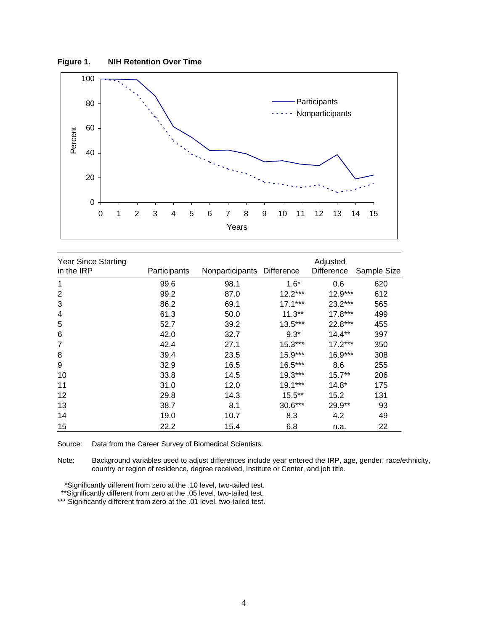**Figure 1. NIH Retention Over Time** 



| <b>Year Since Starting</b> |              |                            | Adjusted  |            |             |  |
|----------------------------|--------------|----------------------------|-----------|------------|-------------|--|
| in the IRP                 | Participants | Nonparticipants Difference |           | Difference | Sample Size |  |
| 1                          | 99.6         | 98.1                       | $1.6*$    | 0.6        | 620         |  |
| 2                          | 99.2         | 87.0                       | $12.2***$ | $12.9***$  | 612         |  |
| 3                          | 86.2         | 69.1                       | $17.1***$ | 23.2***    | 565         |  |
| 4                          | 61.3         | 50.0                       | $11.3**$  | $17.8***$  | 499         |  |
| 5                          | 52.7         | 39.2                       | $13.5***$ | 22.8***    | 455         |  |
| 6                          | 42.0         | 32.7                       | $9.3*$    | $14.4***$  | 397         |  |
| $\overline{7}$             | 42.4         | 27.1                       | $15.3***$ | $17.2***$  | 350         |  |
| 8                          | 39.4         | 23.5                       | $15.9***$ | 16.9***    | 308         |  |
| 9                          | 32.9         | 16.5                       | 16.5***   | 8.6        | 255         |  |
| 10                         | 33.8         | 14.5                       | $19.3***$ | $15.7**$   | 206         |  |
| 11                         | 31.0         | 12.0                       | 19.1***   | $14.8*$    | 175         |  |
| 12                         | 29.8         | 14.3                       | $15.5***$ | 15.2       | 131         |  |
| 13                         | 38.7         | 8.1                        | $30.6***$ | 29.9**     | 93          |  |
| 14                         | 19.0         | 10.7                       | 8.3       | 4.2        | 49          |  |
| 15                         | 22.2         | 15.4                       | 6.8       | n.a.       | 22          |  |

Source: Data from the Career Survey of Biomedical Scientists.

Note: Background variables used to adjust differences include year entered the IRP, age, gender, race/ethnicity, country or region of residence, degree received, Institute or Center, and job title.

\*Significantly different from zero at the .10 level, two-tailed test.

\*\*Significantly different from zero at the .05 level, two-tailed test.

\*\*\* Significantly different from zero at the .01 level, two-tailed test.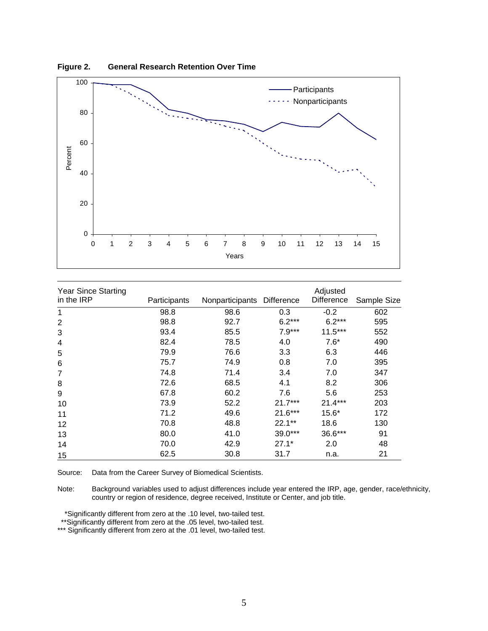

**Figure 2. General Research Retention Over Time** 

| <b>Year Since Starting</b> |              |                            |           | Adjusted   |             |
|----------------------------|--------------|----------------------------|-----------|------------|-------------|
| in the IRP                 | Participants | Nonparticipants Difference |           | Difference | Sample Size |
| 1                          | 98.8         | 98.6                       | 0.3       | $-0.2$     | 602         |
| $\overline{2}$             | 98.8         | 92.7                       | $6.2***$  | $6.2***$   | 595         |
| 3                          | 93.4         | 85.5                       | $7.9***$  | $11.5***$  | 552         |
| 4                          | 82.4         | 78.5                       | 4.0       | $7.6*$     | 490         |
| 5                          | 79.9         | 76.6                       | 3.3       | 6.3        | 446         |
| 6                          | 75.7         | 74.9                       | 0.8       | 7.0        | 395         |
| $\overline{7}$             | 74.8         | 71.4                       | 3.4       | 7.0        | 347         |
| 8                          | 72.6         | 68.5                       | 4.1       | 8.2        | 306         |
| 9                          | 67.8         | 60.2                       | 7.6       | 5.6        | 253         |
| 10                         | 73.9         | 52.2                       | $21.7***$ | $21.4***$  | 203         |
| 11                         | 71.2         | 49.6                       | $21.6***$ | $15.6*$    | 172         |
| 12                         | 70.8         | 48.8                       | $22.1**$  | 18.6       | 130         |
| 13                         | 80.0         | 41.0                       | 39.0***   | 36.6***    | 91          |
| 14                         | 70.0         | 42.9                       | $27.1*$   | 2.0        | 48          |
| 15                         | 62.5         | 30.8                       | 31.7      | n.a.       | 21          |

Source: Data from the Career Survey of Biomedical Scientists.

Note: Background variables used to adjust differences include year entered the IRP, age, gender, race/ethnicity, country or region of residence, degree received, Institute or Center, and job title.

\*Significantly different from zero at the .10 level, two-tailed test.

\*\*Significantly different from zero at the .05 level, two-tailed test.

\*\*\* Significantly different from zero at the .01 level, two-tailed test.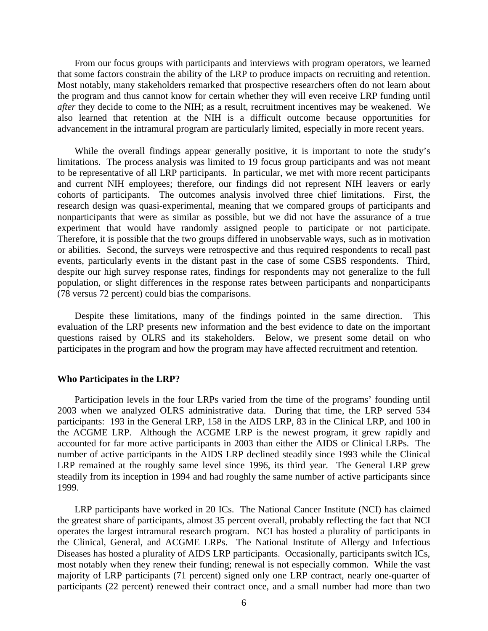From our focus groups with participants and interviews with program operators, we learned that some factors constrain the ability of the LRP to produce impacts on recruiting and retention. Most notably, many stakeholders remarked that prospective researchers often do not learn about the program and thus cannot know for certain whether they will even receive LRP funding until *after* they decide to come to the NIH; as a result, recruitment incentives may be weakened. We also learned that retention at the NIH is a difficult outcome because opportunities for advancement in the intramural program are particularly limited, especially in more recent years.

 to be representative of all LRP participants. In particular, we met with more recent participants experiment that would have randomly assigned people to participate or not participate. While the overall findings appear generally positive, it is important to note the study's limitations. The process analysis was limited to 19 focus group participants and was not meant and current NIH employees; therefore, our findings did not represent NIH leavers or early cohorts of participants. The outcomes analysis involved three chief limitations. First, the research design was quasi-experimental, meaning that we compared groups of participants and nonparticipants that were as similar as possible, but we did not have the assurance of a true Therefore, it is possible that the two groups differed in unobservable ways, such as in motivation or abilities. Second, the surveys were retrospective and thus required respondents to recall past events, particularly events in the distant past in the case of some CSBS respondents. Third, despite our high survey response rates, findings for respondents may not generalize to the full population, or slight differences in the response rates between participants and nonparticipants (78 versus 72 percent) could bias the comparisons.

Despite these limitations, many of the findings pointed in the same direction. This evaluation of the LRP presents new information and the best evidence to date on the important questions raised by OLRS and its stakeholders. Below, we present some detail on who participates in the program and how the program may have affected recruitment and retention.

#### **Who Participates in the LRP?**

Participation levels in the four LRPs varied from the time of the programs' founding until 2003 when we analyzed OLRS administrative data. During that time, the LRP served 534 participants: 193 in the General LRP, 158 in the AIDS LRP, 83 in the Clinical LRP, and 100 in the ACGME LRP. Although the ACGME LRP is the newest program, it grew rapidly and accounted for far more active participants in 2003 than either the AIDS or Clinical LRPs. The number of active participants in the AIDS LRP declined steadily since 1993 while the Clinical LRP remained at the roughly same level since 1996, its third year. The General LRP grew steadily from its inception in 1994 and had roughly the same number of active participants since 1999.

LRP participants have worked in 20 ICs. The National Cancer Institute (NCI) has claimed the greatest share of participants, almost 35 percent overall, probably reflecting the fact that NCI operates the largest intramural research program. NCI has hosted a plurality of participants in the Clinical, General, and ACGME LRPs. The National Institute of Allergy and Infectious Diseases has hosted a plurality of AIDS LRP participants. Occasionally, participants switch ICs, most notably when they renew their funding; renewal is not especially common. While the vast majority of LRP participants (71 percent) signed only one LRP contract, nearly one-quarter of participants (22 percent) renewed their contract once, and a small number had more than two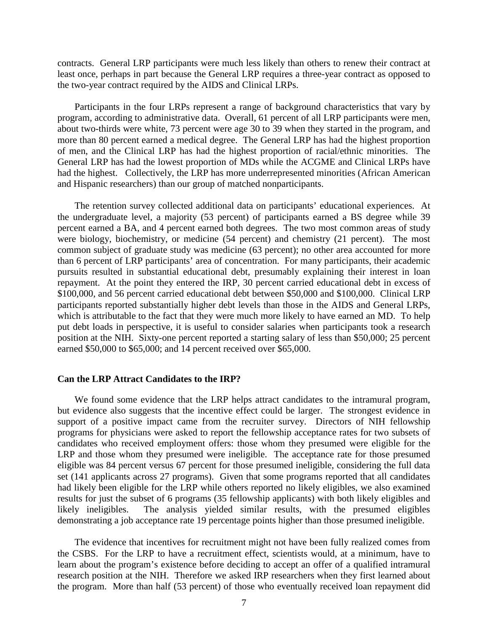contracts. General LRP participants were much less likely than others to renew their contract at least once, perhaps in part because the General LRP requires a three-year contract as opposed to the two-year contract required by the AIDS and Clinical LRPs.

Participants in the four LRPs represent a range of background characteristics that vary by program, according to administrative data. Overall, 61 percent of all LRP participants were men, about two-thirds were white, 73 percent were age 30 to 39 when they started in the program, and more than 80 percent earned a medical degree. The General LRP has had the highest proportion of men, and the Clinical LRP has had the highest proportion of racial/ethnic minorities. The General LRP has had the lowest proportion of MDs while the ACGME and Clinical LRPs have had the highest. Collectively, the LRP has more underrepresented minorities (African American and Hispanic researchers) than our group of matched nonparticipants.

 pursuits resulted in substantial educational debt, presumably explaining their interest in loan The retention survey collected additional data on participants' educational experiences. At the undergraduate level, a majority (53 percent) of participants earned a BS degree while 39 percent earned a BA, and 4 percent earned both degrees. The two most common areas of study were biology, biochemistry, or medicine (54 percent) and chemistry (21 percent). The most common subject of graduate study was medicine (63 percent); no other area accounted for more than 6 percent of LRP participants' area of concentration. For many participants, their academic repayment. At the point they entered the IRP, 30 percent carried educational debt in excess of \$100,000, and 56 percent carried educational debt between \$50,000 and \$100,000. Clinical LRP participants reported substantially higher debt levels than those in the AIDS and General LRPs, which is attributable to the fact that they were much more likely to have earned an MD. To help put debt loads in perspective, it is useful to consider salaries when participants took a research position at the NIH. Sixty-one percent reported a starting salary of less than \$50,000; 25 percent earned \$50,000 to \$65,000; and 14 percent received over \$65,000.

#### **Can the LRP Attract Candidates to the IRP?**

We found some evidence that the LRP helps attract candidates to the intramural program, but evidence also suggests that the incentive effect could be larger. The strongest evidence in support of a positive impact came from the recruiter survey. Directors of NIH fellowship programs for physicians were asked to report the fellowship acceptance rates for two subsets of candidates who received employment offers: those whom they presumed were eligible for the LRP and those whom they presumed were ineligible. The acceptance rate for those presumed eligible was 84 percent versus 67 percent for those presumed ineligible, considering the full data set (141 applicants across 27 programs). Given that some programs reported that all candidates had likely been eligible for the LRP while others reported no likely eligibles, we also examined results for just the subset of 6 programs (35 fellowship applicants) with both likely eligibles and likely ineligibles. The analysis yielded similar results, with the presumed eligibles demonstrating a job acceptance rate 19 percentage points higher than those presumed ineligible.

The evidence that incentives for recruitment might not have been fully realized comes from the CSBS. For the LRP to have a recruitment effect, scientists would, at a minimum, have to learn about the program's existence before deciding to accept an offer of a qualified intramural research position at the NIH. Therefore we asked IRP researchers when they first learned about the program. More than half (53 percent) of those who eventually received loan repayment did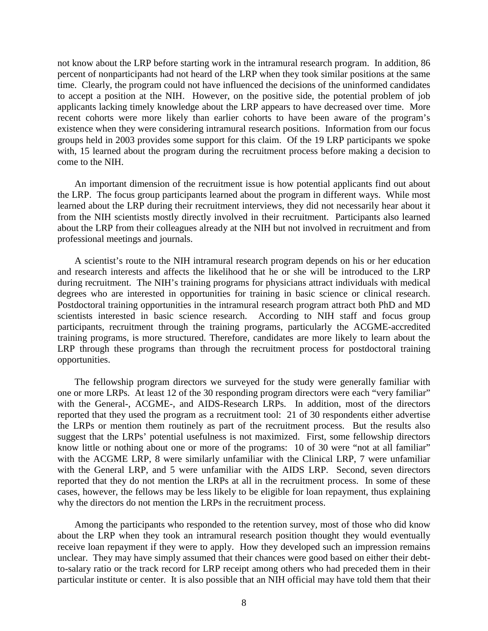to accept a position at the NIH. However, on the positive side, the potential problem of job not know about the LRP before starting work in the intramural research program. In addition, 86 percent of nonparticipants had not heard of the LRP when they took similar positions at the same time. Clearly, the program could not have influenced the decisions of the uninformed candidates applicants lacking timely knowledge about the LRP appears to have decreased over time. More recent cohorts were more likely than earlier cohorts to have been aware of the program's existence when they were considering intramural research positions. Information from our focus groups held in 2003 provides some support for this claim. Of the 19 LRP participants we spoke with, 15 learned about the program during the recruitment process before making a decision to come to the NIH.

An important dimension of the recruitment issue is how potential applicants find out about the LRP. The focus group participants learned about the program in different ways. While most learned about the LRP during their recruitment interviews, they did not necessarily hear about it from the NIH scientists mostly directly involved in their recruitment. Participants also learned about the LRP from their colleagues already at the NIH but not involved in recruitment and from professional meetings and journals.

degrees who are interested in opportunities for training in basic science or clinical research. A scientist's route to the NIH intramural research program depends on his or her education and research interests and affects the likelihood that he or she will be introduced to the LRP during recruitment. The NIH's training programs for physicians attract individuals with medical Postdoctoral training opportunities in the intramural research program attract both PhD and MD scientists interested in basic science research. According to NIH staff and focus group participants, recruitment through the training programs, particularly the ACGME-accredited training programs, is more structured. Therefore, candidates are more likely to learn about the LRP through these programs than through the recruitment process for postdoctoral training opportunities.

 The fellowship program directors we surveyed for the study were generally familiar with one or more LRPs. At least 12 of the 30 responding program directors were each "very familiar" with the General-, ACGME-, and AIDS-Research LRPs. In addition, most of the directors reported that they used the program as a recruitment tool: 21 of 30 respondents either advertise the LRPs or mention them routinely as part of the recruitment process. But the results also suggest that the LRPs' potential usefulness is not maximized. First, some fellowship directors know little or nothing about one or more of the programs: 10 of 30 were "not at all familiar" with the ACGME LRP, 8 were similarly unfamiliar with the Clinical LRP, 7 were unfamiliar with the General LRP, and 5 were unfamiliar with the AIDS LRP. Second, seven directors reported that they do not mention the LRPs at all in the recruitment process. In some of these cases, however, the fellows may be less likely to be eligible for loan repayment, thus explaining why the directors do not mention the LRPs in the recruitment process.

 receive loan repayment if they were to apply. How they developed such an impression remains Among the participants who responded to the retention survey, most of those who did know about the LRP when they took an intramural research position thought they would eventually unclear. They may have simply assumed that their chances were good based on either their debtto-salary ratio or the track record for LRP receipt among others who had preceded them in their particular institute or center. It is also possible that an NIH official may have told them that their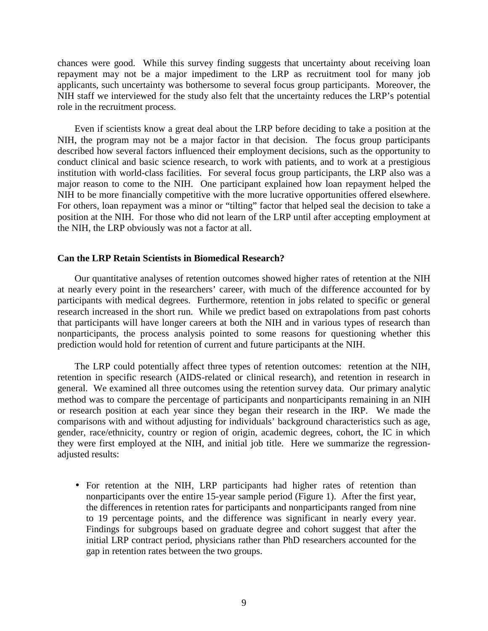NIH staff we interviewed for the study also felt that the uncertainty reduces the LRP's potential chances were good. While this survey finding suggests that uncertainty about receiving loan repayment may not be a major impediment to the LRP as recruitment tool for many job applicants, such uncertainty was bothersome to several focus group participants. Moreover, the role in the recruitment process.

NIH to be more financially competitive with the more lucrative opportunities offered elsewhere. NIH to be more financially competitive with the more lucrative opportunities offered elsewhere. For others, loan repayment was a minor or "tilting" factor that helped seal the decision to take a position at the NIH. For those who did not learn of the LRP until after accepting employment at the NIH, the LRP obviously was not a factor at all. Even if scientists know a great deal about the LRP before deciding to take a position at the NIH, the program may not be a major factor in that decision. The focus group participants described how several factors influenced their employment decisions, such as the opportunity to conduct clinical and basic science research, to work with patients, and to work at a prestigious institution with world-class facilities. For several focus group participants, the LRP also was a major reason to come to the NIH. One participant explained how loan repayment helped the

#### **Can the LRP Retain Scientists in Biomedical Research?**

 participants with medical degrees. Furthermore, retention in jobs related to specific or general Our quantitative analyses of retention outcomes showed higher rates of retention at the NIH at nearly every point in the researchers' career, with much of the difference accounted for by research increased in the short run. While we predict based on extrapolations from past cohorts that participants will have longer careers at both the NIH and in various types of research than nonparticipants, the process analysis pointed to some reasons for questioning whether this prediction would hold for retention of current and future participants at the NIH.

The LRP could potentially affect three types of retention outcomes: retention at the NIH, retention in specific research (AIDS-related or clinical research), and retention in research in general. We examined all three outcomes using the retention survey data. Our primary analytic method was to compare the percentage of participants and nonparticipants remaining in an NIH or research position at each year since they began their research in the IRP. We made the comparisons with and without adjusting for individuals' background characteristics such as age, gender, race/ethnicity, country or region of origin, academic degrees, cohort, the IC in which they were first employed at the NIH, and initial job title. Here we summarize the regressionadjusted results:

 to 19 percentage points, and the difference was significant in nearly every year. • For retention at the NIH, LRP participants had higher rates of retention than nonparticipants over the entire 15-year sample period (Figure 1). After the first year, the differences in retention rates for participants and nonparticipants ranged from nine Findings for subgroups based on graduate degree and cohort suggest that after the initial LRP contract period, physicians rather than PhD researchers accounted for the gap in retention rates between the two groups.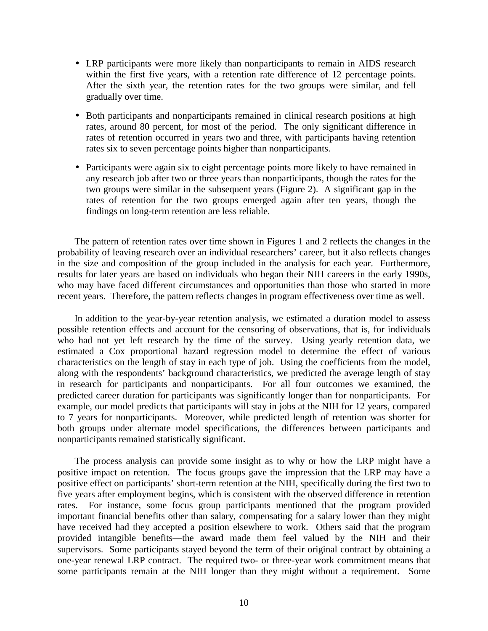- within the first five years, with a retention rate difference of 12 percentage points. • LRP participants were more likely than nonparticipants to remain in AIDS research After the sixth year, the retention rates for the two groups were similar, and fell gradually over time.
- Both participants and nonparticipants remained in clinical research positions at high rates, around 80 percent, for most of the period. The only significant difference in rates of retention occurred in years two and three, with participants having retention rates six to seven percentage points higher than nonparticipants.
- Participants were again six to eight percentage points more likely to have remained in any research job after two or three years than nonparticipants, though the rates for the two groups were similar in the subsequent years (Figure 2). A significant gap in the rates of retention for the two groups emerged again after ten years, though the findings on long-term retention are less reliable.

The pattern of retention rates over time shown in Figures 1 and 2 reflects the changes in the probability of leaving research over an individual researchers' career, but it also reflects changes in the size and composition of the group included in the analysis for each year. Furthermore, results for later years are based on individuals who began their NIH careers in the early 1990s, who may have faced different circumstances and opportunities than those who started in more recent years. Therefore, the pattern reflects changes in program effectiveness over time as well.

 In addition to the year-by-year retention analysis, we estimated a duration model to assess who had not yet left research by the time of the survey. Using yearly retention data, we possible retention effects and account for the censoring of observations, that is, for individuals estimated a Cox proportional hazard regression model to determine the effect of various characteristics on the length of stay in each type of job. Using the coefficients from the model, along with the respondents' background characteristics, we predicted the average length of stay in research for participants and nonparticipants. For all four outcomes we examined, the predicted career duration for participants was significantly longer than for nonparticipants. For example, our model predicts that participants will stay in jobs at the NIH for 12 years, compared to 7 years for nonparticipants. Moreover, while predicted length of retention was shorter for both groups under alternate model specifications, the differences between participants and nonparticipants remained statistically significant.

The process analysis can provide some insight as to why or how the LRP might have a positive impact on retention. The focus groups gave the impression that the LRP may have a positive effect on participants' short-term retention at the NIH, specifically during the first two to five years after employment begins, which is consistent with the observed difference in retention rates. For instance, some focus group participants mentioned that the program provided important financial benefits other than salary, compensating for a salary lower than they might have received had they accepted a position elsewhere to work. Others said that the program provided intangible benefits—the award made them feel valued by the NIH and their supervisors. Some participants stayed beyond the term of their original contract by obtaining a one-year renewal LRP contract. The required two- or three-year work commitment means that some participants remain at the NIH longer than they might without a requirement. Some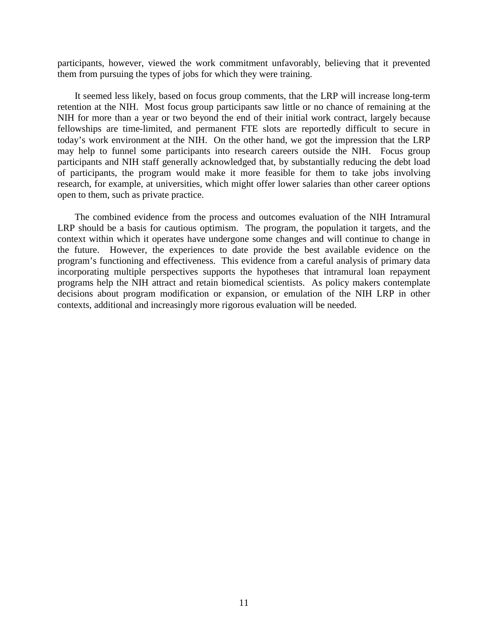participants, however, viewed the work commitment unfavorably, believing that it prevented them from pursuing the types of jobs for which they were training.

 fellowships are time-limited, and permanent FTE slots are reportedly difficult to secure in today's work environment at the NIH. On the other hand, we got the impression that the LRP It seemed less likely, based on focus group comments, that the LRP will increase long-term retention at the NIH. Most focus group participants saw little or no chance of remaining at the NIH for more than a year or two beyond the end of their initial work contract, largely because may help to funnel some participants into research careers outside the NIH. Focus group participants and NIH staff generally acknowledged that, by substantially reducing the debt load of participants, the program would make it more feasible for them to take jobs involving research, for example, at universities, which might offer lower salaries than other career options open to them, such as private practice.

 The combined evidence from the process and outcomes evaluation of the NIH Intramural LRP should be a basis for cautious optimism. The program, the population it targets, and the context within which it operates have undergone some changes and will continue to change in the future. However, the experiences to date provide the best available evidence on the program's functioning and effectiveness. This evidence from a careful analysis of primary data incorporating multiple perspectives supports the hypotheses that intramural loan repayment programs help the NIH attract and retain biomedical scientists. As policy makers contemplate decisions about program modification or expansion, or emulation of the NIH LRP in other contexts, additional and increasingly more rigorous evaluation will be needed.